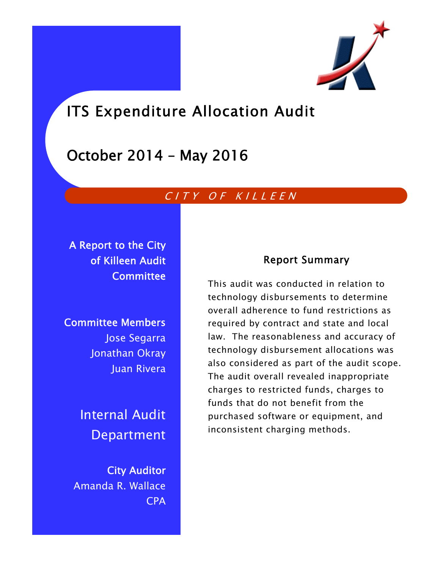

# ITS Expenditure Allocation Audit

# October 2014 – May 2016

# CITY OF KILLEEN

A Report to the City of Killeen Audit **Committee** 

Committee Members Jose Segarra Jonathan Okray Juan Rivera

> Internal Audit Department

City Auditor Amanda R. Wallace CPA

# Report Summary

This audit was conducted in relation to technology disbursements to determine overall adherence to fund restrictions as required by contract and state and local law. The reasonableness and accuracy of technology disbursement allocations was also considered as part of the audit scope. The audit overall revealed inappropriate charges to restricted funds, charges to funds that do not benefit from the purchased software or equipment, and inconsistent charging methods.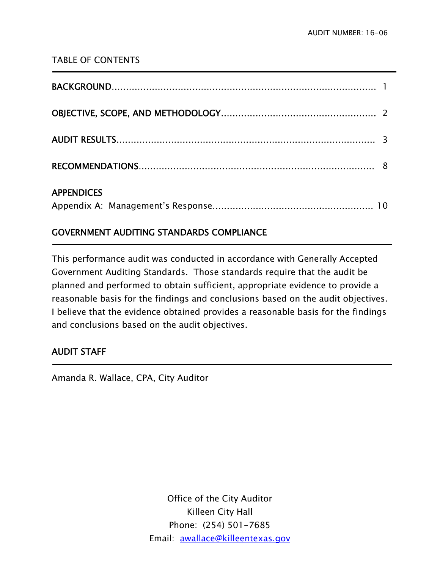# TABLE OF CONTENTS

| <b>APPENDICES</b> |  |
|-------------------|--|

# GOVERNMENT AUDITING STANDARDS COMPLIANCE

This performance audit was conducted in accordance with Generally Accepted Government Auditing Standards. Those standards require that the audit be planned and performed to obtain sufficient, appropriate evidence to provide a reasonable basis for the findings and conclusions based on the audit objectives. I believe that the evidence obtained provides a reasonable basis for the findings and conclusions based on the audit objectives.

# AUDIT STAFF

Ī

<u>-</u>

Amanda R. Wallace, CPA, City Auditor

Office of the City Auditor Killeen City Hall Phone: (254) 501-7685 Email: awallace@killeentexas.gov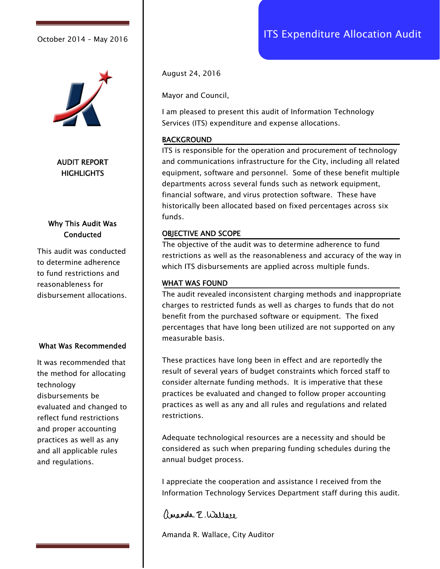

AUDIT REPORT **HIGHLIGHTS** 

### Why This Audit Was **Conducted**

This audit was conducted to determine adherence to fund restrictions and reasonableness for disbursement allocations.

#### What Was Recommended

It was recommended that the method for allocating technology disbursements be evaluated and changed to reflect fund restrictions and proper accounting practices as well as any and all applicable rules and regulations.

August 24, 2016

Mayor and Council,

I am pleased to present this audit of Information Technology Services (ITS) expenditure and expense allocations.

#### BACKGROUND

ITS is responsible for the operation and procurement of technology and communications infrastructure for the City, including all related equipment, software and personnel. Some of these benefit multiple departments across several funds such as network equipment, financial software, and virus protection software. These have historically been allocated based on fixed percentages across six funds.

#### OBJECTIVE AND SCOPE

The objective of the audit was to determine adherence to fund restrictions as well as the reasonableness and accuracy of the way in which ITS disbursements are applied across multiple funds.

#### WHAT WAS FOUND

The audit revealed inconsistent charging methods and inappropriate charges to restricted funds as well as charges to funds that do not benefit from the purchased software or equipment. The fixed percentages that have long been utilized are not supported on any measurable basis.

These practices have long been in effect and are reportedly the result of several years of budget constraints which forced staff to consider alternate funding methods. It is imperative that these practices be evaluated and changed to follow proper accounting practices as well as any and all rules and regulations and related restrictions.

Adequate technological resources are a necessity and should be considered as such when preparing funding schedules during the annual budget process.

I appreciate the cooperation and assistance I received from the Information Technology Services Department staff during this audit.

ananda E. Wallace

Amanda R. Wallace, City Auditor

# October 2014 - May 2016 | **ITS Expenditure Allocation Audit**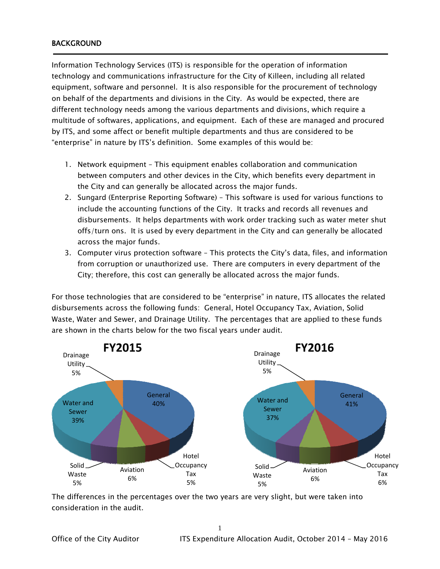#### BACKGROUND

j

Information Technology Services (ITS) is responsible for the operation of information technology and communications infrastructure for the City of Killeen, including all related equipment, software and personnel. It is also responsible for the procurement of technology on behalf of the departments and divisions in the City. As would be expected, there are different technology needs among the various departments and divisions, which require a multitude of softwares, applications, and equipment. Each of these are managed and procured by ITS, and some affect or benefit multiple departments and thus are considered to be "enterprise" in nature by ITS's definition. Some examples of this would be:

- 1. Network equipment This equipment enables collaboration and communication between computers and other devices in the City, which benefits every department in the City and can generally be allocated across the major funds.
- 2. Sungard (Enterprise Reporting Software) This software is used for various functions to include the accounting functions of the City. It tracks and records all revenues and disbursements. It helps departments with work order tracking such as water meter shut offs/turn ons. It is used by every department in the City and can generally be allocated across the major funds.
- 3. Computer virus protection software This protects the City's data, files, and information from corruption or unauthorized use. There are computers in every department of the City; therefore, this cost can generally be allocated across the major funds.

For those technologies that are considered to be "enterprise" in nature, ITS allocates the related disbursements across the following funds: General, Hotel Occupancy Tax, Aviation, Solid Waste, Water and Sewer, and Drainage Utility. The percentages that are applied to these funds are shown in the charts below for the two fiscal years under audit.



The differences in the percentages over the two years are very slight, but were taken into consideration in the audit.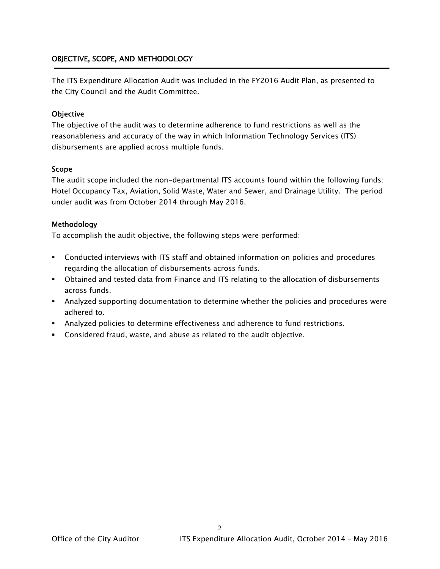#### OBJECTIVE, SCOPE, AND METHODOLOGY

The ITS Expenditure Allocation Audit was included in the FY2016 Audit Plan, as presented to the City Council and the Audit Committee.

#### **Objective**

The objective of the audit was to determine adherence to fund restrictions as well as the reasonableness and accuracy of the way in which Information Technology Services (ITS) disbursements are applied across multiple funds.

#### Scope

The audit scope included the non-departmental ITS accounts found within the following funds: Hotel Occupancy Tax, Aviation, Solid Waste, Water and Sewer, and Drainage Utility. The period under audit was from October 2014 through May 2016.

#### Methodology

To accomplish the audit objective, the following steps were performed:

- Conducted interviews with ITS staff and obtained information on policies and procedures regarding the allocation of disbursements across funds.
- Obtained and tested data from Finance and ITS relating to the allocation of disbursements across funds.
- Analyzed supporting documentation to determine whether the policies and procedures were adhered to.

 $\mathcal{D}_{\mathcal{L}}$ 

- Analyzed policies to determine effectiveness and adherence to fund restrictions.
- Considered fraud, waste, and abuse as related to the audit objective.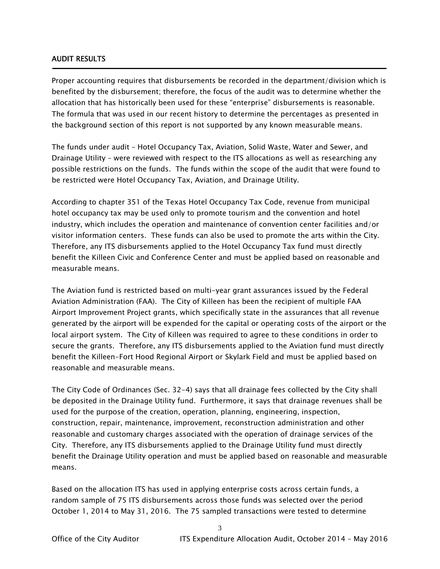#### AUDIT RESULTS

Ī

Proper accounting requires that disbursements be recorded in the department/division which is benefited by the disbursement; therefore, the focus of the audit was to determine whether the allocation that has historically been used for these "enterprise" disbursements is reasonable. The formula that was used in our recent history to determine the percentages as presented in the background section of this report is not supported by any known measurable means.

The funds under audit – Hotel Occupancy Tax, Aviation, Solid Waste, Water and Sewer, and Drainage Utility – were reviewed with respect to the ITS allocations as well as researching any possible restrictions on the funds. The funds within the scope of the audit that were found to be restricted were Hotel Occupancy Tax, Aviation, and Drainage Utility.

According to chapter 351 of the Texas Hotel Occupancy Tax Code, revenue from municipal hotel occupancy tax may be used only to promote tourism and the convention and hotel industry, which includes the operation and maintenance of convention center facilities and/or visitor information centers. These funds can also be used to promote the arts within the City. Therefore, any ITS disbursements applied to the Hotel Occupancy Tax fund must directly benefit the Killeen Civic and Conference Center and must be applied based on reasonable and measurable means.

The Aviation fund is restricted based on multi-year grant assurances issued by the Federal Aviation Administration (FAA). The City of Killeen has been the recipient of multiple FAA Airport Improvement Project grants, which specifically state in the assurances that all revenue generated by the airport will be expended for the capital or operating costs of the airport or the local airport system. The City of Killeen was required to agree to these conditions in order to secure the grants. Therefore, any ITS disbursements applied to the Aviation fund must directly benefit the Killeen-Fort Hood Regional Airport or Skylark Field and must be applied based on reasonable and measurable means.

The City Code of Ordinances (Sec. 32-4) says that all drainage fees collected by the City shall be deposited in the Drainage Utility fund. Furthermore, it says that drainage revenues shall be used for the purpose of the creation, operation, planning, engineering, inspection, construction, repair, maintenance, improvement, reconstruction administration and other reasonable and customary charges associated with the operation of drainage services of the City. Therefore, any ITS disbursements applied to the Drainage Utility fund must directly benefit the Drainage Utility operation and must be applied based on reasonable and measurable means.

Based on the allocation ITS has used in applying enterprise costs across certain funds, a random sample of 75 ITS disbursements across those funds was selected over the period October 1, 2014 to May 31, 2016. The 75 sampled transactions were tested to determine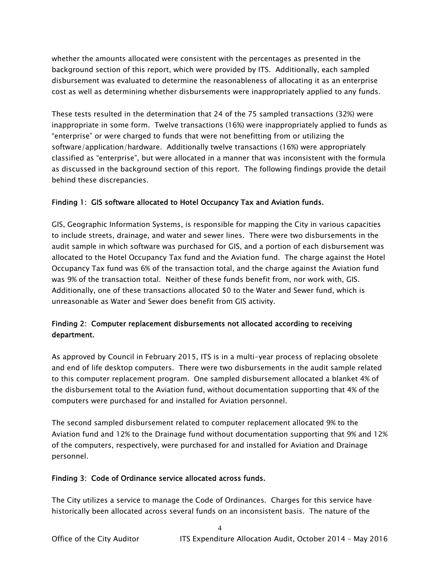whether the amounts allocated were consistent with the percentages as presented in the background section of this report, which were provided by ITS. Additionally, each sampled disbursement was evaluated to determine the reasonableness of allocating it as an enterprise cost as well as determining whether disbursements were inappropriately applied to any funds.

These tests resulted in the determination that 24 of the 75 sampled transactions (32%) were inappropriate in some form. Twelve transactions (16%) were inappropriately applied to funds as "enterprise" or were charged to funds that were not benefitting from or utilizing the software/application/hardware. Additionally twelve transactions (16%) were appropriately classified as "enterprise", but were allocated in a manner that was inconsistent with the formula as discussed in the background section of this report. The following findings provide the detail behind these discrepancies.

#### Finding 1: GIS software allocated to Hotel Occupancy Tax and Aviation funds.

GIS, Geographic Information Systems, is responsible for mapping the City in various capacities to include streets, drainage, and water and sewer lines. There were two disbursements in the audit sample in which software was purchased for GIS, and a portion of each disbursement was allocated to the Hotel Occupancy Tax fund and the Aviation fund. The charge against the Hotel Occupancy Tax fund was 6% of the transaction total, and the charge against the Aviation fund was 9% of the transaction total. Neither of these funds benefit from, nor work with, GIS. Additionally, one of these transactions allocated \$0 to the Water and Sewer fund, which is unreasonable as Water and Sewer does benefit from GIS activity.

### Finding 2: Computer replacement disbursements not allocated according to receiving department.

As approved by Council in February 2015, ITS is in a multi-year process of replacing obsolete and end of life desktop computers. There were two disbursements in the audit sample related to this computer replacement program. One sampled disbursement allocated a blanket 4% of the disbursement total to the Aviation fund, without documentation supporting that 4% of the computers were purchased for and installed for Aviation personnel.

The second sampled disbursement related to computer replacement allocated 9% to the Aviation fund and 12% to the Drainage fund without documentation supporting that 9% and 12% of the computers, respectively, were purchased for and installed for Aviation and Drainage personnel.

#### Finding 3: Code of Ordinance service allocated across funds.

The City utilizes a service to manage the Code of Ordinances. Charges for this service have historically been allocated across several funds on an inconsistent basis. The nature of the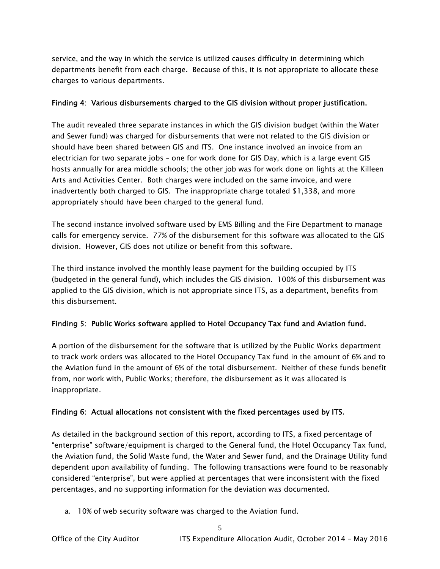service, and the way in which the service is utilized causes difficulty in determining which departments benefit from each charge. Because of this, it is not appropriate to allocate these charges to various departments.

#### Finding 4: Various disbursements charged to the GIS division without proper justification.

The audit revealed three separate instances in which the GIS division budget (within the Water and Sewer fund) was charged for disbursements that were not related to the GIS division or should have been shared between GIS and ITS. One instance involved an invoice from an electrician for two separate jobs – one for work done for GIS Day, which is a large event GIS hosts annually for area middle schools; the other job was for work done on lights at the Killeen Arts and Activities Center. Both charges were included on the same invoice, and were inadvertently both charged to GIS. The inappropriate charge totaled \$1,338, and more appropriately should have been charged to the general fund.

The second instance involved software used by EMS Billing and the Fire Department to manage calls for emergency service. 77% of the disbursement for this software was allocated to the GIS division. However, GIS does not utilize or benefit from this software.

The third instance involved the monthly lease payment for the building occupied by ITS (budgeted in the general fund), which includes the GIS division. 100% of this disbursement was applied to the GIS division, which is not appropriate since ITS, as a department, benefits from this disbursement.

#### Finding 5: Public Works software applied to Hotel Occupancy Tax fund and Aviation fund.

A portion of the disbursement for the software that is utilized by the Public Works department to track work orders was allocated to the Hotel Occupancy Tax fund in the amount of 6% and to the Aviation fund in the amount of 6% of the total disbursement. Neither of these funds benefit from, nor work with, Public Works; therefore, the disbursement as it was allocated is inappropriate.

#### Finding 6: Actual allocations not consistent with the fixed percentages used by ITS.

As detailed in the background section of this report, according to ITS, a fixed percentage of "enterprise" software/equipment is charged to the General fund, the Hotel Occupancy Tax fund, the Aviation fund, the Solid Waste fund, the Water and Sewer fund, and the Drainage Utility fund dependent upon availability of funding. The following transactions were found to be reasonably considered "enterprise", but were applied at percentages that were inconsistent with the fixed percentages, and no supporting information for the deviation was documented.

a. 10% of web security software was charged to the Aviation fund.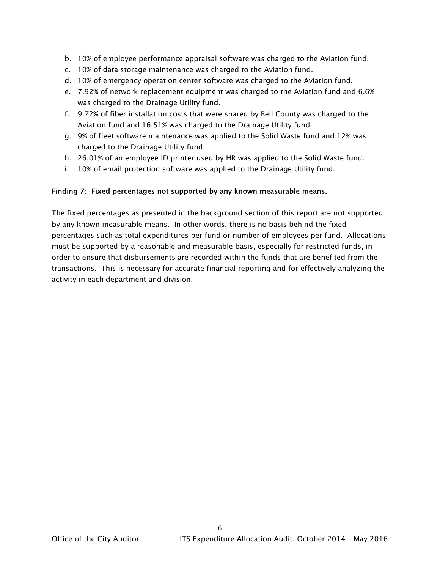- b. 10% of employee performance appraisal software was charged to the Aviation fund.
- c. 10% of data storage maintenance was charged to the Aviation fund.
- d. 10% of emergency operation center software was charged to the Aviation fund.
- e. 7.92% of network replacement equipment was charged to the Aviation fund and 6.6% was charged to the Drainage Utility fund.
- f. 9.72% of fiber installation costs that were shared by Bell County was charged to the Aviation fund and 16.51% was charged to the Drainage Utility fund.
- g. 9% of fleet software maintenance was applied to the Solid Waste fund and 12% was charged to the Drainage Utility fund.
- h. 26.01% of an employee ID printer used by HR was applied to the Solid Waste fund.
- i. 10% of email protection software was applied to the Drainage Utility fund.

#### Finding 7: Fixed percentages not supported by any known measurable means.

The fixed percentages as presented in the background section of this report are not supported by any known measurable means. In other words, there is no basis behind the fixed percentages such as total expenditures per fund or number of employees per fund. Allocations must be supported by a reasonable and measurable basis, especially for restricted funds, in order to ensure that disbursements are recorded within the funds that are benefited from the transactions. This is necessary for accurate financial reporting and for effectively analyzing the activity in each department and division.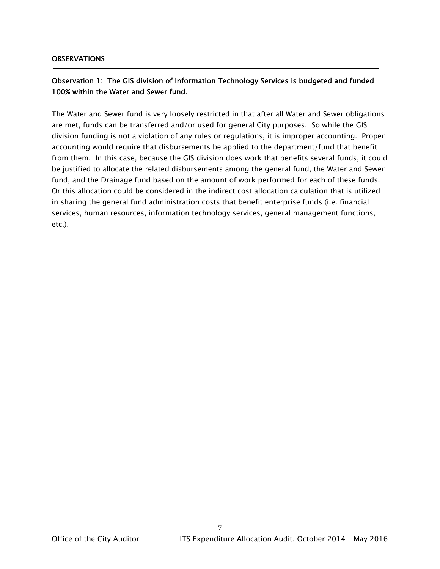#### **OBSERVATIONS**

### Observation 1: The GIS division of Information Technology Services is budgeted and funded 100% within the Water and Sewer fund.

The Water and Sewer fund is very loosely restricted in that after all Water and Sewer obligations are met, funds can be transferred and/or used for general City purposes. So while the GIS division funding is not a violation of any rules or regulations, it is improper accounting. Proper accounting would require that disbursements be applied to the department/fund that benefit from them. In this case, because the GIS division does work that benefits several funds, it could be justified to allocate the related disbursements among the general fund, the Water and Sewer fund, and the Drainage fund based on the amount of work performed for each of these funds. Or this allocation could be considered in the indirect cost allocation calculation that is utilized in sharing the general fund administration costs that benefit enterprise funds (i.e. financial services, human resources, information technology services, general management functions, etc.).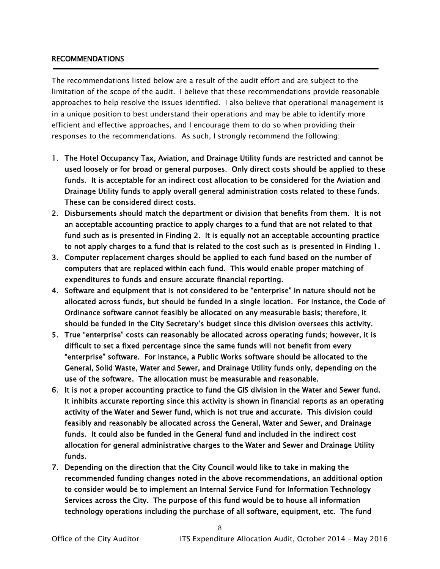#### RECOMMENDATIONS

The recommendations listed below are a result of the audit effort and are subject to the limitation of the scope of the audit. I believe that these recommendations provide reasonable approaches to help resolve the issues identified. I also believe that operational management is in a unique position to best understand their operations and may be able to identify more efficient and effective approaches, and I encourage them to do so when providing their responses to the recommendations. As such, I strongly recommend the following:

- 1. The Hotel Occupancy Tax, Aviation, and Drainage Utility funds are restricted and cannot be used loosely or for broad or general purposes. Only direct costs should be applied to these funds. It is acceptable for an indirect cost allocation to be considered for the Aviation and Drainage Utility funds to apply overall general administration costs related to these funds. These can be considered direct costs.
- 2. Disbursements should match the department or division that benefits from them. It is not an acceptable accounting practice to apply charges to a fund that are not related to that fund such as is presented in Finding 2. It is equally not an acceptable accounting practice to not apply charges to a fund that is related to the cost such as is presented in Finding 1.
- 3. Computer replacement charges should be applied to each fund based on the number of computers that are replaced within each fund. This would enable proper matching of expenditures to funds and ensure accurate financial reporting.
- 4. Software and equipment that is not considered to be "enterprise" in nature should not be allocated across funds, but should be funded in a single location. For instance, the Code of Ordinance software cannot feasibly be allocated on any measurable basis; therefore, it should be funded in the City Secretary's budget since this division oversees this activity.
- 5. True "enterprise" costs can reasonably be allocated across operating funds; however, it is difficult to set a fixed percentage since the same funds will not benefit from every "enterprise" software. For instance, a Public Works software should be allocated to the General, Solid Waste, Water and Sewer, and Drainage Utility funds only, depending on the use of the software. The allocation must be measurable and reasonable.
- 6. It is not a proper accounting practice to fund the GIS division in the Water and Sewer fund. It inhibits accurate reporting since this activity is shown in financial reports as an operating activity of the Water and Sewer fund, which is not true and accurate. This division could feasibly and reasonably be allocated across the General, Water and Sewer, and Drainage funds. It could also be funded in the General fund and included in the indirect cost allocation for general administrative charges to the Water and Sewer and Drainage Utility funds.
- 7. Depending on the direction that the City Council would like to take in making the recommended funding changes noted in the above recommendations, an additional option to consider would be to implement an Internal Service Fund for Information Technology Services across the City. The purpose of this fund would be to house all information technology operations including the purchase of all software, equipment, etc. The fund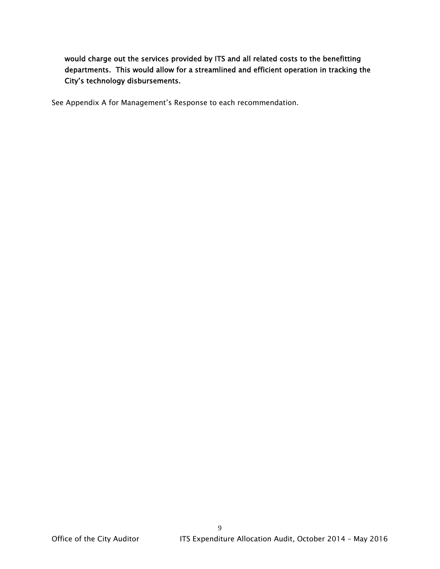would charge out the services provided by ITS and all related costs to the benefitting departments. This would allow for a streamlined and efficient operation in tracking the City's technology disbursements.

See Appendix A for Management's Response to each recommendation.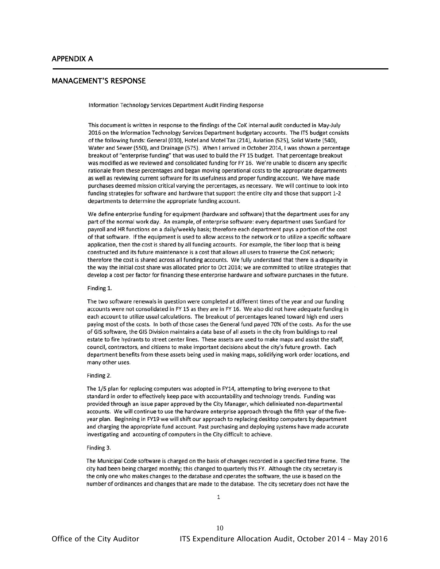j

#### MANAGEMENT'S RESPONSE

Information Technology Services Department Audit Finding Response

This document is written in response to the findings of the CoK internal audit conducted in May-July 2016 on the Information Technology Services Department budgetary accounts. The ITS budget consists of the following funds: General (010), Hotel and Motel Tax (214), Aviation (525), Solid Waste (540), Water and Sewer (550), and Drainage (575). When I arrived in October 2014, I was shown a percentage breakout of "enterprise funding" that was used to build the FY 15 budget. That percentage breakout was modified as we reviewed and consolidated funding for FY 16. We're unable to discern any specific rationale from these percentages and began moving operational costs to the appropriate departments as well as reviewing current software for its usefulness and proper funding account. We have made purchases deemed mission critical varying the percentages, as necessary. We will continue to look into funding strategies for software and hardware that support the entire city and those that support 1-2 departments to determine the appropriate funding account.

We define enterprise funding for equipment (hardware and software) that the department uses for any part of the normal work day. An example, of enterprise software: every department uses SunGard for payroll and HR functions on a daily/weekly basis; therefore each department pays a portion of the cost of that software. If the equipment is used to allow access to the network or to utilize a specific software application, then the cost is shared by all funding accounts. For example, the fiber loop that is being constructed and its future maintenance is a cost that allows all users to traverse the CoK network; therefore the cost is shared across all funding accounts. We fully understand that there is a disparity in the way the initial cost share was allocated prior to Oct 2014; we are committed to utilize strategies that develop a cost per factor for financing these enterprise hardware and software purchases in the future.

#### Finding 1.

The two software renewals in question were completed at different times of the year and our funding accounts were not consolidated in FY 15 as they are in FY 16. We also did not have adequate funding in each account to utilize usual calculations. The breakout of percentages leaned toward high end users paying most of the costs. In both of those cases the General fund payed 70% of the costs. As for the use of GIS software, the GIS Division maintains a data base of all assets in the city from buildings to real estate to fire hydrants to street center lines. These assets are used to make maps and assist the staff, council, contractors, and citizens to make important decisions about the city's future growth. Each department benefits from these assets being used in making maps, solidifying work order locations, and many other uses.

#### Finding 2.

The 1/5 plan for replacing computers was adopted in FY14, attempting to bring everyone to that standard in order to effectively keep pace with accountability and technology trends. Funding was provided through an issue paper approved by the City Manager, which delinieated non-departmental accounts. We will continue to use the hardware enterprise approach through the fifth year of the fiveyear plan. Beginning in FY19 we will shift our approach to replacing desktop computers by department and charging the appropriate fund account. Past purchasing and deploying systems have made accurate investigating and accounting of computers in the City difficult to achieve.

#### Finding 3.

The Municipal Code software is charged on the basis of changes recorded in a specified time frame. The city had been being charged monthly; this changed to quarterly this FY. Although the city secretary is the only one who makes changes to the database and operates the software, the use is based on the number of ordinances and changes that are made to the database. The city secretary does not have the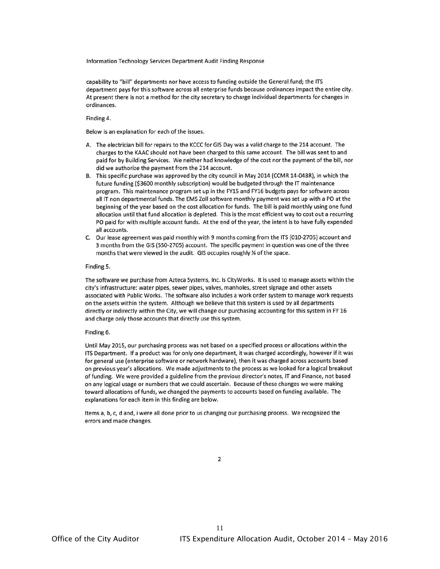Information Technology Services Department Audit Finding Response

capability to "bill" departments nor have access to funding outside the General fund; the ITS department pays for this software across all enterprise funds because ordinances impact the entire city. At present there is not a method for the city secretary to charge individual departments for changes in ordinances.

Finding 4.

Below is an explanation for each of the issues.

- A. The electrician bill for repairs to the KCCC for GIS Day was a valid charge to the 214 account. The charges to the KAAC should not have been charged to this same account. The bill was sent to and paid for by Building Services. We neither had knowledge of the cost nor the payment of the bill, nor did we authorize the payment from the 214 account.
- B. This specific purchase was approved by the city council in May 2014 (CCMR 14-048R), in which the future funding (\$3600 monthly subscription) would be budgeted through the IT maintenance program. This maintenance program set up in the FY15 and FY16 budgets pays for software across all IT non departmental funds. The EMS Zoll software monthly payment was set up with a PO at the beginning of the year based on the cost allocation for funds. The bill is paid monthly using one fund allocation until that fund allocation is depleted. This is the most efficient way to cost out a recurring PO paid for with multiple account funds. At the end of the year, the intent is to have fully expended all accounts.
- C. Our lease agreement was paid monthly with 9 months coming from the ITS (010-2705) account and 3 months from the GIS (550-2705) account. The specific payment in question was one of the three months that were viewed in the audit. GIS occupies roughly % of the space.

#### Finding 5.

The software we purchase from Azteca Systems, Inc. is CityWorks. It is used to manage assets within the city's infrastructure: water pipes, sewer pipes, valves, manholes, street signage and other assets associated with Public Works. The software also includes a work order system to manage work requests on the assets within the system. Although we believe that this system is used by all departments directly or indirectly within the City, we will change our purchasing accounting for this system in FY 16 and charge only those accounts that directly use this system.

#### Finding 6.

Until May 2015, our purchasing process was not based on a specified process or allocations within the ITS Department. If a product was for only one department, it was charged accordingly, however if it was for general use (enterprise software or network hardware), then it was charged across accounts based on previous year's allocations. We made adjustments to the process as we looked for a logical breakout of funding. We were provided a guideline from the previous director's notes, IT and Finance, not based on any logical usage or numbers that we could ascertain. Because of these changes we were making toward allocations of funds, we changed the payments to accounts based on funding available. The explanations for each item in this finding are below.

Items a, b, c, d and, i were all done prior to us changing our purchasing process. We recognized the errors and made changes.